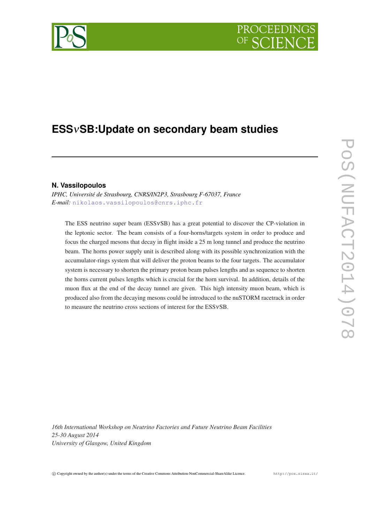# PROCEEDIN

## **ESS**ν**SB:Update on secondary beam studies**

### **N. Vassilopoulos**

*IPHC, Université de Strasbourg, CNRS/IN2P3, Strasbourg F-67037, France E-mail:* [nikolaos.vassilopoulos@cnrs.iphc.fr](mailto:nikolaos.vassilopoulos@cnrs.iphc.fr)

The ESS neutrino super beam (ESSνSB) has a great potential to discover the CP-violation in the leptonic sector. The beam consists of a four-horns/targets system in order to produce and focus the charged mesons that decay in flight inside a 25 m long tunnel and produce the neutrino beam. The horns power supply unit is described along with its possible synchronization with the accumulator-rings system that will deliver the proton beams to the four targets. The accumulator system is necessary to shorten the primary proton beam pulses lengths and as sequence to shorten the horns current pulses lengths which is crucial for the horn survival. In addition, details of the muon flux at the end of the decay tunnel are given. This high intensity muon beam, which is produced also from the decaying mesons could be introduced to the nuSTORM racetrack in order to measure the neutrino cross sections of interest for the ESSνSB.

*16th International Workshop on Neutrino Factories and Future Neutrino Beam Facilities 25-30 August 2014 University of Glasgow, United Kingdom*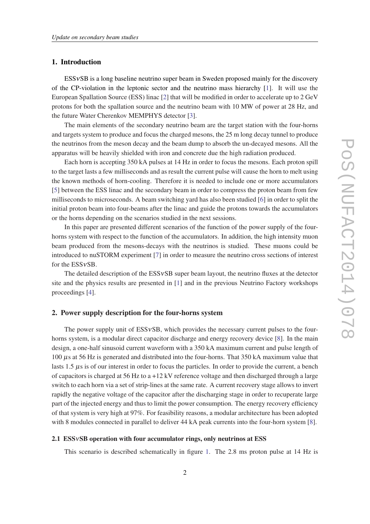#### 1. Introduction

ESSνSB is a long baseline neutrino super beam in Sweden proposed mainly for the discovery of the CP-violation in the leptonic sector and the neutrino mass hierarchy [[1](#page-5-0)]. It will use the European Spallation Source (ESS) linac [[2](#page-5-0)] that will be modified in order to accelerate up to 2 GeV protons for both the spallation source and the neutrino beam with 10 MW of power at 28 Hz, and the future Water Cherenkov MEMPHYS detector [\[3\]](#page-5-0).

The main elements of the secondary neutrino beam are the target station with the four-horns and targets system to produce and focus the charged mesons, the 25 m long decay tunnel to produce the neutrinos from the meson decay and the beam dump to absorb the un-decayed mesons. All the apparatus will be heavily shielded with iron and concrete due the high radiation produced.

Each horn is accepting 350 kA pulses at 14 Hz in order to focus the mesons. Each proton spill to the target lasts a few milliseconds and as result the current pulse will cause the horn to melt using the known methods of horn-cooling. Therefore it is needed to include one or more accumulators [[5](#page-5-0)] between the ESS linac and the secondary beam in order to compress the proton beam from few milliseconds to microseconds. A beam switching yard has also been studied [[6\]](#page-5-0) in order to split the initial proton beam into four-beams after the linac and guide the protons towards the accumulators or the horns depending on the scenarios studied in the next sessions.

In this paper are presented different scenarios of the function of the power supply of the fourhorns system with respect to the function of the accumulators. In addition, the high intensity muon beam produced from the mesons-decays with the neutrinos is studied. These muons could be introduced to nuSTORM experiment [\[7\]](#page-5-0) in order to measure the neutrino cross sections of interest for the ESSνSB.

The detailed description of the  $ESSvSB$  super beam layout, the neutrino fluxes at the detector site and the physics results are presented in [\[1\]](#page-5-0) and in the previous Neutrino Factory workshops proceedings [\[4\]](#page-5-0).

#### 2. Power supply description for the four-horns system

The power supply unit of ESSvSB, which provides the necessary current pulses to the four-horns system, is a modular direct capacitor discharge and energy recovery device [[8](#page-5-0)]. In the main design, a one-half sinusoid current waveform with a 350 kA maximum current and pulse length of 100 µs at 56 Hz is generated and distributed into the four-horns. That 350 kA maximum value that lasts 1.5  $\mu$ s is of our interest in order to focus the particles. In order to provide the current, a bench of capacitors is charged at 56 Hz to  $a + 12$  kV reference voltage and then discharged through a large switch to each horn via a set of strip-lines at the same rate. A current recovery stage allows to invert rapidly the negative voltage of the capacitor after the discharging stage in order to recuperate large part of the injected energy and thus to limit the power consumption. The energy recovery efficiency of that system is very high at 97%. For feasibility reasons, a modular architecture has been adopted with 8 modules connected in parallel to deliver 44 kA peak currents into the four-horn system [\[8\]](#page-5-0).

#### 2.1 ESSνSB operation with four accumulator rings, only neutrinos at ESS

This scenario is described schematically in figure [1](#page-2-0). The 2.8 ms proton pulse at 14 Hz is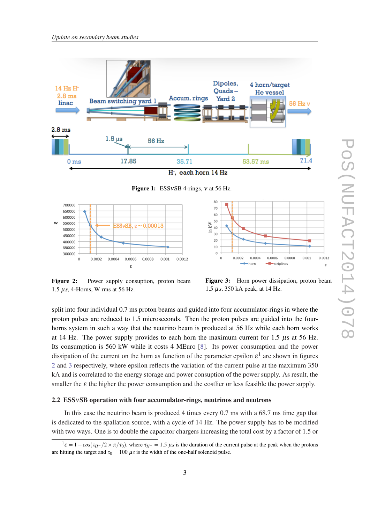<span id="page-2-0"></span>

Figure 1: ESSνSB 4-rings, ν at 56 Hz.



Figure 2: Power supply consuption, proton beam 1.5 µ*s*, 4-Horns, W rms at 56 Hz.

Figure 3: Horn power dissipation, proton beam 1.5 µ*s*, 350 kA peak, at 14 Hz.

split into four individual 0.7 ms proton beams and guided into four accumulator-rings in where the proton pulses are reduced to 1.5 microseconds. Then the proton pulses are guided into the fourhorns system in such a way that the neutrino beam is produced at 56 Hz while each horn works at 14 Hz. The power supply provides to each horn the maximum current for 1.5 µs at 56 Hz. Its consumption is 560 kW while it costs 4 MEuro [\[8\]](#page-5-0). Its power consumption and the power dissipation of the current on the horn as function of the parameter epsilon  $\varepsilon^1$  are shown in figures 2 and 3 respectively, where epsilon reflects the variation of the current pulse at the maximum 350 kA and is correlated to the energy storage and power consuption of the power supply. As result, the smaller the  $\varepsilon$  the higher the power consumption and the costlier or less feasible the power supply.

#### 2.2 ESSνSB operation with four accumulator-rings, neutrinos and neutrons

In this case the neutrino beam is produced 4 times every 0.7 ms with a 68.7 ms time gap that is dedicated to the spallation source, with a cycle of 14 Hz. The power supply has to be modified with two ways. One is to double the capacitor chargers increasing the total cost by a factor of 1.5 or

 $1\varepsilon = 1 - \cos(\tau_{H} - 2 \times \pi/\tau_0)$ , where  $\tau_{H}$  = 1.5  $\mu s$  is the duration of the current pulse at the peak when the protons are hitting the target and  $\tau_0 = 100 \mu s$  is the width of the one-half solenoid pulse.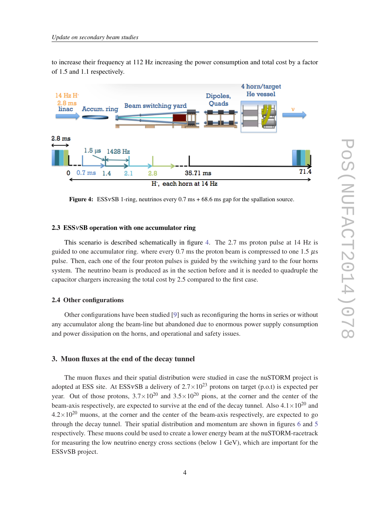to increase their frequency at 112 Hz increasing the power consumption and total cost by a factor of 1.5 and 1.1 respectively.



**Figure 4:** ESSvSB 1-ring, neutrinos every 0.7 ms  $+ 68.6$  ms gap for the spallation source.

#### 2.3 ESSνSB operation with one accumulator ring

This scenario is described schematically in figure 4. The 2.7 ms proton pulse at 14 Hz is guided to one accumulator ring. where every 0.7 ms the proton beam is compressed to one 1.5  $\mu$ s pulse. Then, each one of the four proton pulses is guided by the switching yard to the four horns system. The neutrino beam is produced as in the section before and it is needed to quadruple the capacitor chargers increasing the total cost by 2.5 compared to the first case.

#### 2.4 Other configurations

Other configurations have been studied [\[9\]](#page-5-0) such as reconfiguring the horns in series or without any accumulator along the beam-line but abandoned due to enormous power supply consumption and power dissipation on the horns, and operational and safety issues.

#### 3. Muon fluxes at the end of the decay tunnel

The muon fluxes and their spatial distribution were studied in case the nuSTORM project is adopted at ESS site. At ESSvSB a delivery of  $2.7 \times 10^{23}$  protons on target (p.o.t) is expected per year. Out of those protons,  $3.7 \times 10^{20}$  and  $3.5 \times 10^{20}$  pions, at the corner and the center of the beam-axis respectively, are expected to survive at the end of the decay tunnel. Also  $4.1 \times 10^{20}$  and  $4.2\times10^{20}$  muons, at the corner and the center of the beam-axis respectively, are expected to go through the decay tunnel. Their spatial distribution and momentum are shown in figures [6](#page-4-0) and [5](#page-4-0) respectively. These muons could be used to create a lower energy beam at the nuSTORM-racetrack for measuring the low neutrino energy cross sections (below 1 GeV), which are important for the ESSνSB project.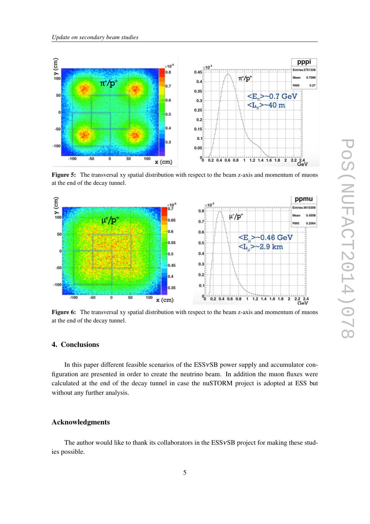<span id="page-4-0"></span>

Figure 5: The transversal xy spatial distribution with respect to the beam z-axis and momentum of muons at the end of the decay tunnel.



Figure 6: The transversal xy spatial distribution with respect to the beam z-axis and momentum of muons at the end of the decay tunnel.

#### 4. Conclusions

In this paper different feasible scenarios of the ESSvSB power supply and accumulator configuration are presented in order to create the neutrino beam. In addition the muon fluxes were calculated at the end of the decay tunnel in case the nuSTORM project is adopted at ESS but without any further analysis.

#### Acknowledgments

The author would like to thank its collaborators in the ESSvSB project for making these studies possible.